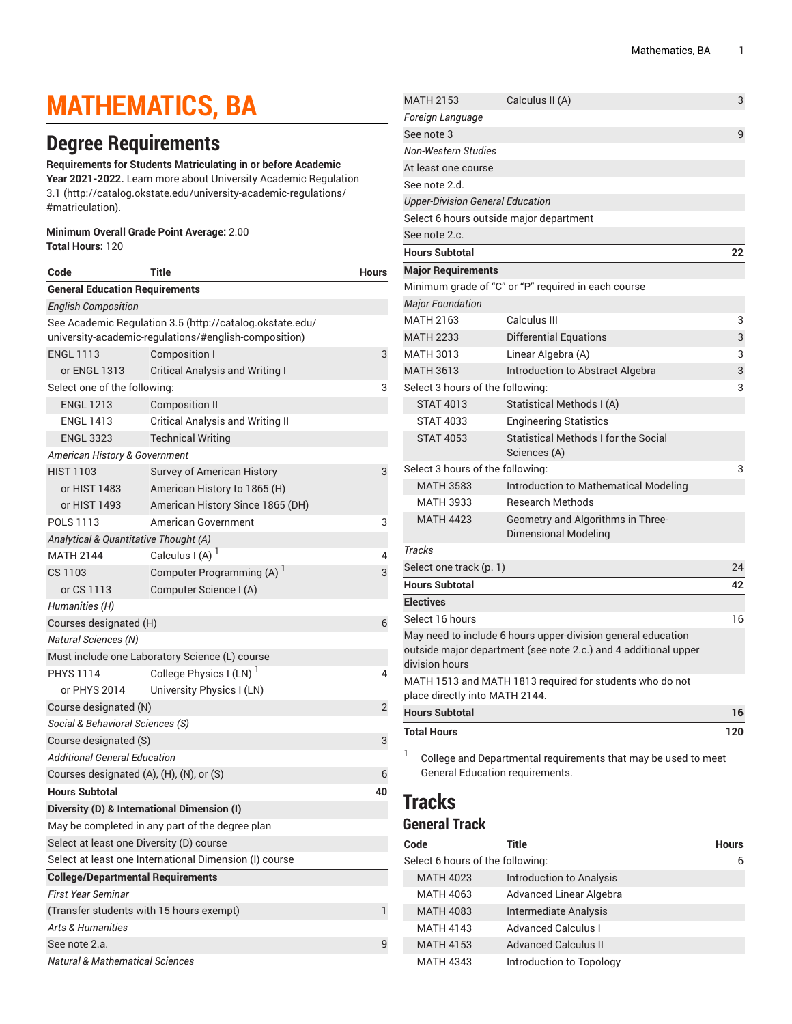# **MATHEMATICS, BA**

## **Degree Requirements**

**Requirements for Students Matriculating in or before Academic**

**Year 2021-2022.** Learn more about University Academic [Regulation](http://catalog.okstate.edu/university-academic-regulations/#matriculation) [3.1](http://catalog.okstate.edu/university-academic-regulations/#matriculation) ([http://catalog.okstate.edu/university-academic-regulations/](http://catalog.okstate.edu/university-academic-regulations/#matriculation) [#matriculation\)](http://catalog.okstate.edu/university-academic-regulations/#matriculation).

### **Minimum Overall Grade Point Average:** 2.00

**Total Hours:** 120

| Code                                                   | Title                                                    | <b>Hours</b> |  |  |  |
|--------------------------------------------------------|----------------------------------------------------------|--------------|--|--|--|
|                                                        | <b>General Education Requirements</b>                    |              |  |  |  |
| <b>English Composition</b>                             |                                                          |              |  |  |  |
|                                                        | See Academic Regulation 3.5 (http://catalog.okstate.edu/ |              |  |  |  |
|                                                        | university-academic-regulations/#english-composition)    |              |  |  |  |
| <b>ENGL 1113</b>                                       | <b>Composition I</b>                                     | 3            |  |  |  |
| or ENGL 1313                                           | <b>Critical Analysis and Writing I</b>                   |              |  |  |  |
| Select one of the following:                           |                                                          | 3            |  |  |  |
| <b>ENGL 1213</b>                                       | <b>Composition II</b>                                    |              |  |  |  |
| <b>ENGL 1413</b>                                       | <b>Critical Analysis and Writing II</b>                  |              |  |  |  |
| <b>ENGL 3323</b>                                       | <b>Technical Writing</b>                                 |              |  |  |  |
| American History & Government                          |                                                          |              |  |  |  |
| <b>HIST 1103</b>                                       | Survey of American History                               | 3            |  |  |  |
| or HIST 1483                                           | American History to 1865 (H)                             |              |  |  |  |
| or HIST 1493                                           | American History Since 1865 (DH)                         |              |  |  |  |
| POLS 1113                                              | American Government                                      | 3            |  |  |  |
| Analytical & Quantitative Thought (A)                  |                                                          |              |  |  |  |
| <b>MATH 2144</b>                                       | Calculus I (A) $1$                                       | 4            |  |  |  |
| CS 1103                                                | Computer Programming (A) <sup>1</sup>                    | 3            |  |  |  |
| or CS 1113                                             | Computer Science I (A)                                   |              |  |  |  |
| Humanities (H)                                         |                                                          |              |  |  |  |
| Courses designated (H)                                 |                                                          | 6            |  |  |  |
| <b>Natural Sciences (N)</b>                            |                                                          |              |  |  |  |
|                                                        | Must include one Laboratory Science (L) course           |              |  |  |  |
| <b>PHYS 1114</b>                                       | College Physics I (LN) <sup>1</sup>                      | 4            |  |  |  |
| or PHYS 2014                                           | University Physics I (LN)                                |              |  |  |  |
| Course designated (N)                                  |                                                          | 2            |  |  |  |
| Social & Behavioral Sciences (S)                       |                                                          |              |  |  |  |
| Course designated (S)                                  |                                                          | 3            |  |  |  |
| Additional General Education                           |                                                          |              |  |  |  |
| Courses designated (A), (H), (N), or (S)               |                                                          | 6            |  |  |  |
| <b>Hours Subtotal</b>                                  |                                                          | 40           |  |  |  |
|                                                        | Diversity (D) & International Dimension (I)              |              |  |  |  |
|                                                        | May be completed in any part of the degree plan          |              |  |  |  |
| Select at least one Diversity (D) course               |                                                          |              |  |  |  |
| Select at least one International Dimension (I) course |                                                          |              |  |  |  |
| <b>College/Departmental Requirements</b>               |                                                          |              |  |  |  |
| <b>First Year Seminar</b>                              |                                                          |              |  |  |  |
| (Transfer students with 15 hours exempt)               |                                                          |              |  |  |  |
| <b>Arts &amp; Humanities</b>                           |                                                          |              |  |  |  |
| See note 2.a.                                          |                                                          |              |  |  |  |
| <b>Natural &amp; Mathematical Sciences</b>             |                                                          |              |  |  |  |

| <b>MATH 2153</b>                        | Calculus II (A)                                                                                                                 | 3   |
|-----------------------------------------|---------------------------------------------------------------------------------------------------------------------------------|-----|
| Foreign Language                        |                                                                                                                                 |     |
| See note 3                              |                                                                                                                                 | 9   |
| Non-Western Studies                     |                                                                                                                                 |     |
| At least one course                     |                                                                                                                                 |     |
| See note 2.d.                           |                                                                                                                                 |     |
| <b>Upper-Division General Education</b> |                                                                                                                                 |     |
| Select 6 hours outside major department |                                                                                                                                 |     |
| See note 2.c.                           |                                                                                                                                 |     |
| <b>Hours Subtotal</b>                   |                                                                                                                                 | 22  |
| <b>Major Requirements</b>               |                                                                                                                                 |     |
|                                         | Minimum grade of "C" or "P" required in each course                                                                             |     |
| <b>Major Foundation</b>                 |                                                                                                                                 |     |
| <b>MATH 2163</b>                        | Calculus III                                                                                                                    | 3   |
| <b>MATH 2233</b>                        | <b>Differential Equations</b>                                                                                                   | 3   |
| MATH 3013                               | Linear Algebra (A)                                                                                                              | 3   |
| <b>MATH 3613</b>                        | Introduction to Abstract Algebra                                                                                                | 3   |
| Select 3 hours of the following:        |                                                                                                                                 | 3   |
| <b>STAT 4013</b>                        | Statistical Methods I (A)                                                                                                       |     |
| <b>STAT 4033</b>                        | <b>Engineering Statistics</b>                                                                                                   |     |
| <b>STAT 4053</b>                        | Statistical Methods I for the Social<br>Sciences (A)                                                                            |     |
| Select 3 hours of the following:        |                                                                                                                                 | 3   |
| <b>MATH 3583</b>                        | Introduction to Mathematical Modeling                                                                                           |     |
| <b>MATH 3933</b>                        | <b>Research Methods</b>                                                                                                         |     |
| <b>MATH 4423</b>                        | Geometry and Algorithms in Three-<br><b>Dimensional Modeling</b>                                                                |     |
| <b>Tracks</b>                           |                                                                                                                                 |     |
| Select one track (p. 1)                 |                                                                                                                                 | 24  |
| <b>Hours Subtotal</b>                   |                                                                                                                                 | 42  |
| <b>Electives</b>                        |                                                                                                                                 |     |
| Select 16 hours                         |                                                                                                                                 | 16  |
| division hours                          | May need to include 6 hours upper-division general education<br>outside major department (see note 2.c.) and 4 additional upper |     |
| place directly into MATH 2144.          | MATH 1513 and MATH 1813 required for students who do not                                                                        |     |
| <b>Hours Subtotal</b>                   |                                                                                                                                 | 16  |
| <b>Total Hours</b>                      |                                                                                                                                 | 120 |
| 1<br>General Education requirements.    | College and Departmental requirements that may be used to meet                                                                  |     |

### <span id="page-0-0"></span>**Tracks**

### **General Track**

| Code                             | Title                           | <b>Hours</b> |
|----------------------------------|---------------------------------|--------------|
| Select 6 hours of the following: | 6                               |              |
| <b>MATH 4023</b>                 | <b>Introduction to Analysis</b> |              |
| <b>MATH 4063</b>                 | Advanced Linear Algebra         |              |
| <b>MATH 4083</b>                 | Intermediate Analysis           |              |
| <b>MATH 4143</b>                 | <b>Advanced Calculus I</b>      |              |
| <b>MATH 4153</b>                 | <b>Advanced Calculus II</b>     |              |
| <b>MATH 4343</b>                 | Introduction to Topology        |              |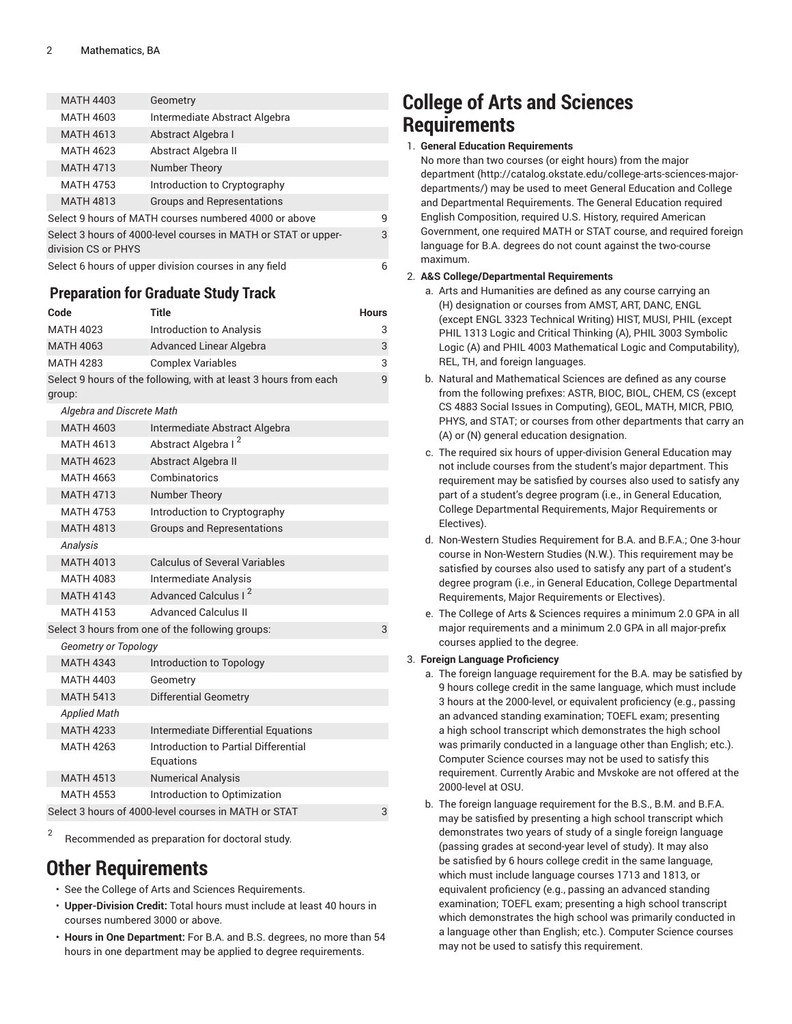| <b>MATH 4403</b>    | Geometry                                                       |   |
|---------------------|----------------------------------------------------------------|---|
| <b>MATH 4603</b>    | Intermediate Abstract Algebra                                  |   |
| <b>MATH 4613</b>    | Abstract Algebra I                                             |   |
| <b>MATH 4623</b>    | Abstract Algebra II                                            |   |
| <b>MATH 4713</b>    | Number Theory                                                  |   |
| <b>MATH 4753</b>    | Introduction to Cryptography                                   |   |
| <b>MATH 4813</b>    | <b>Groups and Representations</b>                              |   |
|                     | Select 9 hours of MATH courses numbered 4000 or above          | 9 |
| division CS or PHYS | Select 3 hours of 4000-level courses in MATH or STAT or upper- | 3 |
|                     | Select 6 hours of upper division courses in any field          | 6 |

### **Preparation for Graduate Study Track**

| Code                                                             | <b>Title</b>                                      | <b>Hours</b> |  |
|------------------------------------------------------------------|---------------------------------------------------|--------------|--|
| <b>MATH 4023</b>                                                 | Introduction to Analysis                          | 3            |  |
| <b>MATH 4063</b>                                                 | <b>Advanced Linear Algebra</b>                    | 3            |  |
| <b>MATH 4283</b>                                                 | <b>Complex Variables</b>                          | 3            |  |
| Select 9 hours of the following, with at least 3 hours from each |                                                   |              |  |
| group:                                                           |                                                   |              |  |
| Algebra and Discrete Math                                        |                                                   |              |  |
| <b>MATH 4603</b>                                                 | Intermediate Abstract Algebra                     |              |  |
| <b>MATH 4613</b>                                                 | Abstract Algebra I <sup>2</sup>                   |              |  |
| <b>MATH 4623</b>                                                 | Abstract Algebra II                               |              |  |
| <b>MATH 4663</b>                                                 | Combinatorics                                     |              |  |
| <b>MATH 4713</b>                                                 | Number Theory                                     |              |  |
| <b>MATH 4753</b>                                                 | Introduction to Cryptography                      |              |  |
| <b>MATH 4813</b>                                                 | <b>Groups and Representations</b>                 |              |  |
| Analysis                                                         |                                                   |              |  |
| <b>MATH 4013</b>                                                 | <b>Calculus of Several Variables</b>              |              |  |
| <b>MATH 4083</b>                                                 | Intermediate Analysis                             |              |  |
| <b>MATH 4143</b>                                                 | Advanced Calculus I <sup>2</sup>                  |              |  |
| <b>MATH 4153</b>                                                 | <b>Advanced Calculus II</b>                       |              |  |
|                                                                  | Select 3 hours from one of the following groups:  | 3            |  |
| <b>Geometry or Topology</b>                                      |                                                   |              |  |
| <b>MATH 4343</b>                                                 | Introduction to Topology                          |              |  |
| MATH 4403                                                        | Geometry                                          |              |  |
| <b>MATH 5413</b>                                                 | <b>Differential Geometry</b>                      |              |  |
| <b>Applied Math</b>                                              |                                                   |              |  |
| <b>MATH 4233</b>                                                 | <b>Intermediate Differential Equations</b>        |              |  |
| <b>MATH 4263</b>                                                 | Introduction to Partial Differential<br>Equations |              |  |
| <b>MATH 4513</b>                                                 | <b>Numerical Analysis</b>                         |              |  |
| <b>MATH 4553</b>                                                 | Introduction to Optimization                      |              |  |
| Select 3 hours of 4000-level courses in MATH or STAT<br>3        |                                                   |              |  |

2 Recommended as preparation for doctoral study.

### **Other Requirements**

- See the College of Arts and Sciences Requirements.
- **Upper-Division Credit:** Total hours must include at least 40 hours in courses numbered 3000 or above.
- **Hours in One Department:** For B.A. and B.S. degrees, no more than 54 hours in one department may be applied to degree requirements.

### **College of Arts and Sciences Requirements**

#### 1. **General Education Requirements**

No more than two courses (or eight hours) from [the major](http://catalog.okstate.edu/college-arts-sciences-major-departments/) [department](http://catalog.okstate.edu/college-arts-sciences-major-departments/) ([http://catalog.okstate.edu/college-arts-sciences-major](http://catalog.okstate.edu/college-arts-sciences-major-departments/)[departments/\)](http://catalog.okstate.edu/college-arts-sciences-major-departments/) may be used to meet General Education and College and Departmental Requirements. The General Education required English Composition, required U.S. History, required American Government, one required MATH or STAT course, and required foreign language for B.A. degrees do not count against the two-course maximum.

#### 2. **A&S College/Departmental Requirements**

- a. Arts and Humanities are defined as any course carrying an (H) designation or courses from AMST, ART, DANC, ENGL (except ENGL 3323 Technical Writing) HIST, MUSI, PHIL (except PHIL 1313 Logic and Critical Thinking (A), PHIL 3003 Symbolic Logic (A) and PHIL 4003 Mathematical Logic and Computability), REL, TH, and foreign languages.
- b. Natural and Mathematical Sciences are defined as any course from the following prefixes: ASTR, BIOC, BIOL, CHEM, CS (except CS 4883 Social Issues in Computing), GEOL, MATH, MICR, PBIO, PHYS, and STAT; or courses from other departments that carry an (A) or (N) general education designation.
- c. The required six hours of upper-division General Education may not include courses from the student's major department. This requirement may be satisfied by courses also used to satisfy any part of a student's degree program (i.e., in General Education, College Departmental Requirements, Major Requirements or Electives).
- d. Non-Western Studies Requirement for B.A. and B.F.A.; One 3-hour course in Non-Western Studies (N.W.). This requirement may be satisfied by courses also used to satisfy any part of a student's degree program (i.e., in General Education, College Departmental Requirements, Major Requirements or Electives).
- e. The College of Arts & Sciences requires a minimum 2.0 GPA in all major requirements and a minimum 2.0 GPA in all major-prefix courses applied to the degree.

#### 3. **Foreign Language Proficiency**

- a. The foreign language requirement for the B.A. may be satisfied by 9 hours college credit in the same language, which must include 3 hours at the 2000-level, or equivalent proficiency (e.g., passing an advanced standing examination; TOEFL exam; presenting a high school transcript which demonstrates the high school was primarily conducted in a language other than English; etc.). Computer Science courses may not be used to satisfy this requirement. Currently Arabic and Mvskoke are not offered at the 2000-level at OSU.
- b. The foreign language requirement for the B.S., B.M. and B.F.A. may be satisfied by presenting a high school transcript which demonstrates two years of study of a single foreign language (passing grades at second-year level of study). It may also be satisfied by 6 hours college credit in the same language, which must include language courses 1713 and 1813, or equivalent proficiency (e.g., passing an advanced standing examination; TOEFL exam; presenting a high school transcript which demonstrates the high school was primarily conducted in a language other than English; etc.). Computer Science courses may not be used to satisfy this requirement.